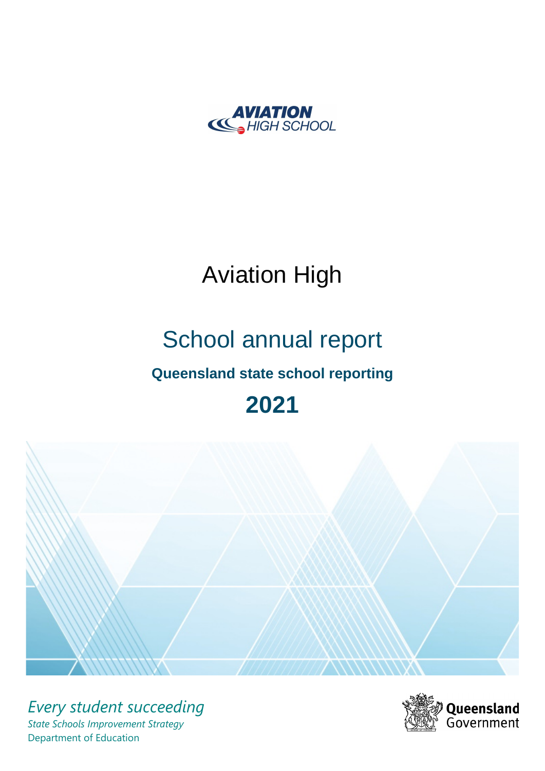

# Aviation High

# School annual report

# **Queensland state school reporting**

# **2021**



*Every student succeeding State Schools Improvement Strategy* Department of Education

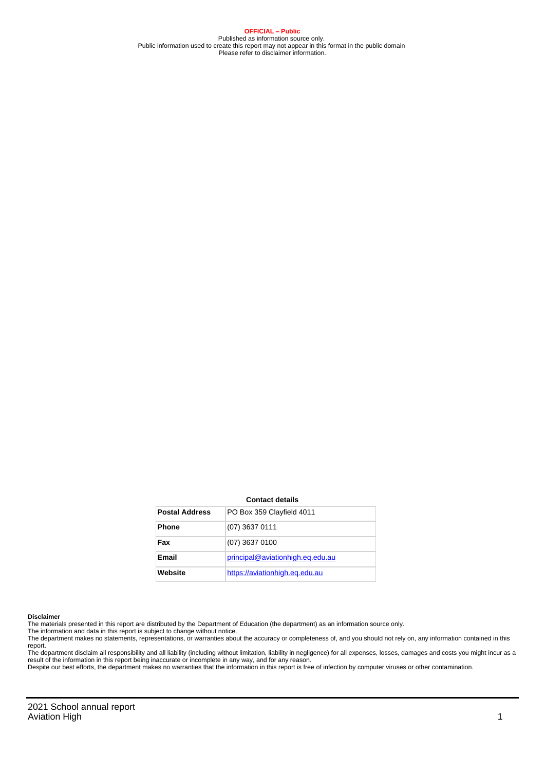**OFFICIAL – Public** Published as information source only. Public information used to create this report may not appear in this format in the public domain Please refer to disclaimer information.

#### **Contact details**

| <b>Postal Address</b> | PO Box 359 Clayfield 4011        |
|-----------------------|----------------------------------|
| <b>Phone</b>          | $(07)$ 3637 0111                 |
| Fax                   | $(07)$ 3637 0100                 |
| Email                 | principal@aviationhigh.eq.edu.au |
| Website               | https://aviationhigh.eq.edu.au   |

#### **Disclaimer**

The materials presented in this report are distributed by the Department of Education (the department) as an information source only.

The information and data in this report is subject to change without notice.<br>The department makes no statements, representations, or warranties about the accuracy or completeness of, and you should not rely on, any informa report. The department disclaim all responsibility and all liability (including without limitation, liability in negligence) for all expenses, losses, damages and costs you might incur as a

result of the information in this report being inaccurate or incomplete in any way, and for any reason. Despite our best efforts, the department makes no warranties that the information in this report is free of infection by computer viruses or other contamination.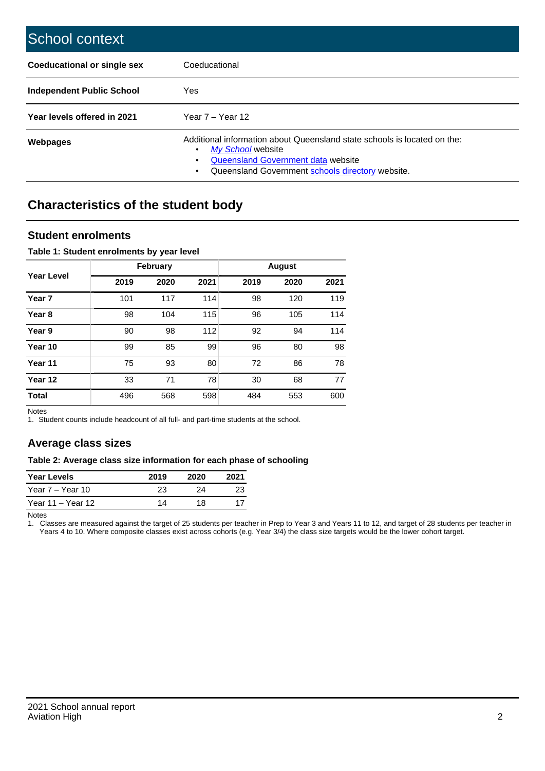| School context                     |                                                                                                                                                                                                   |
|------------------------------------|---------------------------------------------------------------------------------------------------------------------------------------------------------------------------------------------------|
| <b>Coeducational or single sex</b> | Coeducational                                                                                                                                                                                     |
| Independent Public School          | <b>Yes</b>                                                                                                                                                                                        |
| Year levels offered in 2021        | Year $7 -$ Year 12                                                                                                                                                                                |
| Webpages                           | Additional information about Queensland state schools is located on the:<br>My School website<br>٠<br>Queensland Government data website<br>Queensland Government schools directory website.<br>٠ |

# **Characteristics of the student body**

## **Student enrolments**

#### **Table 1: Student enrolments by year level**

|                   |      | <b>February</b> |      |      | <b>August</b> |      |
|-------------------|------|-----------------|------|------|---------------|------|
| <b>Year Level</b> | 2019 | 2020            | 2021 | 2019 | 2020          | 2021 |
| Year <sub>7</sub> | 101  | 117             | 114  | 98   | 120           | 119  |
| Year <sub>8</sub> | 98   | 104             | 115  | 96   | 105           | 114  |
| Year 9            | 90   | 98              | 112  | 92   | 94            | 114  |
| Year 10           | 99   | 85              | 99   | 96   | 80            | 98   |
| Year 11           | 75   | 93              | 80   | 72   | 86            | 78   |
| Year 12           | 33   | 71              | 78   | 30   | 68            | 77   |
| <b>Total</b>      | 496  | 568             | 598  | 484  | 553           | 600  |

Notes

1. Student counts include headcount of all full- and part-time students at the school.

## **Average class sizes**

#### **Table 2: Average class size information for each phase of schooling**

| <b>Year Levels</b> | 2019 | 2020 | 2021 |
|--------------------|------|------|------|
| Year 7 – Year 10   | 23   | 24   |      |
| Year 11 – Year 12  | 14   | 18   |      |

Notes

1. Classes are measured against the target of 25 students per teacher in Prep to Year 3 and Years 11 to 12, and target of 28 students per teacher in Years 4 to 10. Where composite classes exist across cohorts (e.g. Year 3/4) the class size targets would be the lower cohort target.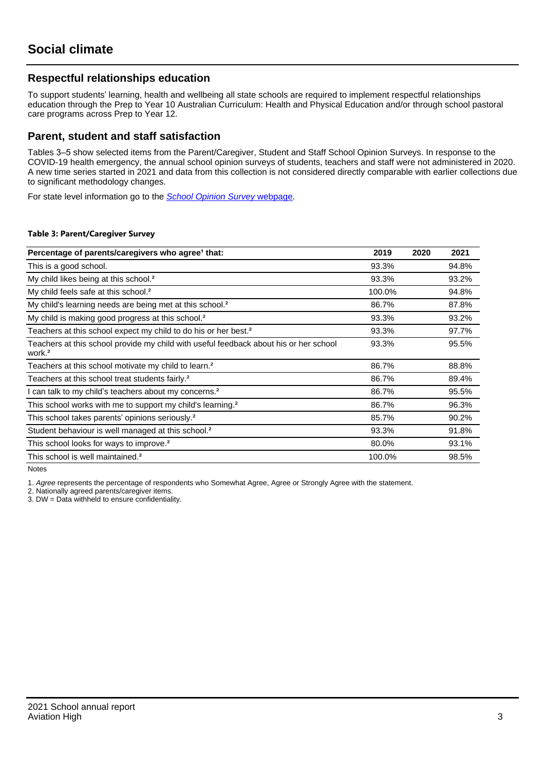## **Respectful relationships education**

To support students' learning, health and wellbeing all state schools are required to implement respectful relationships education through the Prep to Year 10 Australian Curriculum: Health and Physical Education and/or through school pastoral care programs across Prep to Year 12.

## **Parent, student and staff satisfaction**

Tables 3–5 show selected items from the Parent/Caregiver, Student and Staff School Opinion Surveys. In response to the COVID-19 health emergency, the annual school opinion surveys of students, teachers and staff were not administered in 2020. A new time series started in 2021 and data from this collection is not considered directly comparable with earlier collections due to significant methodology changes.

For state level information go to the **[School Opinion Survey](https://qed.qld.gov.au/publications/reports/statistics/schooling/schools/schoolopinionsurvey) webpage**.

#### **Table 3: Parent/Caregiver Survey**

| Percentage of parents/caregivers who agree <sup>1</sup> that:                                               | 2019   | 2020 | 2021  |
|-------------------------------------------------------------------------------------------------------------|--------|------|-------|
| This is a good school.                                                                                      | 93.3%  |      | 94.8% |
| My child likes being at this school. <sup>2</sup>                                                           | 93.3%  |      | 93.2% |
| My child feels safe at this school. <sup>2</sup>                                                            | 100.0% |      | 94.8% |
| My child's learning needs are being met at this school. <sup>2</sup>                                        | 86.7%  |      | 87.8% |
| My child is making good progress at this school. <sup>2</sup>                                               | 93.3%  |      | 93.2% |
| Teachers at this school expect my child to do his or her best. <sup>2</sup>                                 | 93.3%  |      | 97.7% |
| Teachers at this school provide my child with useful feedback about his or her school<br>work. <sup>2</sup> | 93.3%  |      | 95.5% |
| Teachers at this school motivate my child to learn. <sup>2</sup>                                            | 86.7%  |      | 88.8% |
| Teachers at this school treat students fairly. <sup>2</sup>                                                 | 86.7%  |      | 89.4% |
| I can talk to my child's teachers about my concerns. <sup>2</sup>                                           | 86.7%  |      | 95.5% |
| This school works with me to support my child's learning. <sup>2</sup>                                      | 86.7%  |      | 96.3% |
| This school takes parents' opinions seriously. <sup>2</sup>                                                 | 85.7%  |      | 90.2% |
| Student behaviour is well managed at this school. <sup>2</sup>                                              | 93.3%  |      | 91.8% |
| This school looks for ways to improve. <sup>2</sup>                                                         | 80.0%  |      | 93.1% |
| This school is well maintained. <sup>2</sup>                                                                | 100.0% |      | 98.5% |

Notes

1. Agree represents the percentage of respondents who Somewhat Agree, Agree or Strongly Agree with the statement.

2. Nationally agreed parents/caregiver items.

3. DW = Data withheld to ensure confidentiality.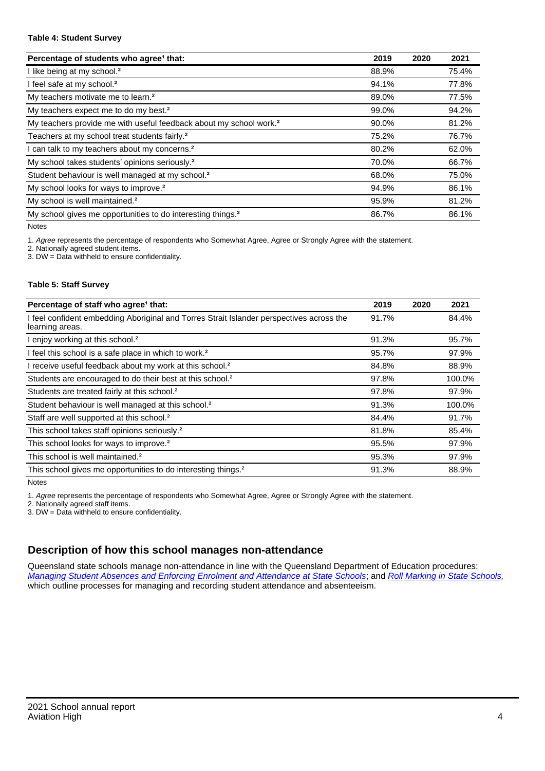#### **Table 4: Student Survey**

| Percentage of students who agree <sup>1</sup> that:                            | 2019  | 2020 | 2021  |
|--------------------------------------------------------------------------------|-------|------|-------|
| I like being at my school. <sup>2</sup>                                        | 88.9% |      | 75.4% |
| I feel safe at my school. <sup>2</sup>                                         | 94.1% |      | 77.8% |
| My teachers motivate me to learn. <sup>2</sup>                                 | 89.0% |      | 77.5% |
| My teachers expect me to do my best. <sup>2</sup>                              | 99.0% |      | 94.2% |
| My teachers provide me with useful feedback about my school work. <sup>2</sup> | 90.0% |      | 81.2% |
| Teachers at my school treat students fairly. <sup>2</sup>                      | 75.2% |      | 76.7% |
| I can talk to my teachers about my concerns. <sup>2</sup>                      | 80.2% |      | 62.0% |
| My school takes students' opinions seriously. <sup>2</sup>                     | 70.0% |      | 66.7% |
| Student behaviour is well managed at my school. <sup>2</sup>                   | 68.0% |      | 75.0% |
| My school looks for ways to improve. <sup>2</sup>                              | 94.9% |      | 86.1% |
| My school is well maintained. <sup>2</sup>                                     | 95.9% |      | 81.2% |
| My school gives me opportunities to do interesting things. <sup>2</sup>        | 86.7% |      | 86.1% |

Notes

1. Agree represents the percentage of respondents who Somewhat Agree, Agree or Strongly Agree with the statement.

2. Nationally agreed student items.

3. DW = Data withheld to ensure confidentiality.

#### **Table 5: Staff Survey**

| Percentage of staff who agree <sup>1</sup> that:                                                            | 2019  | 2020 | 2021   |
|-------------------------------------------------------------------------------------------------------------|-------|------|--------|
| I feel confident embedding Aboriginal and Torres Strait Islander perspectives across the<br>learning areas. | 91.7% |      | 84.4%  |
| I enjoy working at this school. <sup>2</sup>                                                                | 91.3% |      | 95.7%  |
| I feel this school is a safe place in which to work. <sup>2</sup>                                           | 95.7% |      | 97.9%  |
| I receive useful feedback about my work at this school. <sup>2</sup>                                        | 84.8% |      | 88.9%  |
| Students are encouraged to do their best at this school. <sup>2</sup>                                       | 97.8% |      | 100.0% |
| Students are treated fairly at this school. <sup>2</sup>                                                    | 97.8% |      | 97.9%  |
| Student behaviour is well managed at this school. <sup>2</sup>                                              | 91.3% |      | 100.0% |
| Staff are well supported at this school. <sup>2</sup>                                                       | 84.4% |      | 91.7%  |
| This school takes staff opinions seriously. <sup>2</sup>                                                    | 81.8% |      | 85.4%  |
| This school looks for ways to improve. <sup>2</sup>                                                         | 95.5% |      | 97.9%  |
| This school is well maintained. <sup>2</sup>                                                                | 95.3% |      | 97.9%  |
| This school gives me opportunities to do interesting things. <sup>2</sup>                                   | 91.3% |      | 88.9%  |

Notes

1. Agree represents the percentage of respondents who Somewhat Agree, Agree or Strongly Agree with the statement.

2. Nationally agreed staff items.

3. DW = Data withheld to ensure confidentiality.

# **Description of how this school manages non-attendance**

Queensland state schools manage non-attendance in line with the Queensland Department of Education procedures: [Managing Student Absences and Enforcing Enrolment and Attendance at State Schools](https://ppr.qed.qld.gov.au/pp/managing-student-absences-and-enforcing-enrolment-and-attendance-at-state-schools-procedure); and [Roll Marking in State Schools,](https://ppr.qed.qld.gov.au/pp/roll-marking-in-state-schools-procedure) which outline processes for managing and recording student attendance and absenteeism.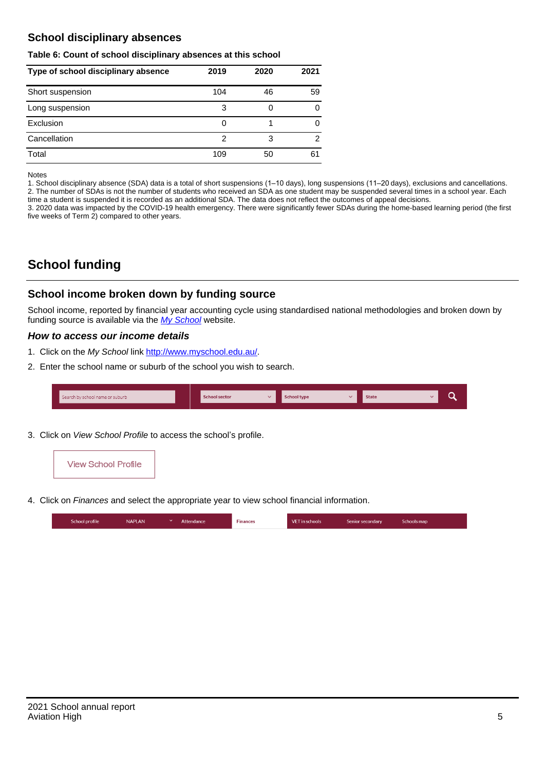## **School disciplinary absences**

#### **Table 6: Count of school disciplinary absences at this school**

| Type of school disciplinary absence | 2019 | 2020 | 2021 |
|-------------------------------------|------|------|------|
| Short suspension                    | 104  | 46   | 59   |
| Long suspension                     | 3    |      | 0    |
| Exclusion                           | O    |      | 0    |
| Cancellation                        | 2    | 3    | 2    |
| Total                               | 109  | 50   | 61   |

Notes

1. School disciplinary absence (SDA) data is a total of short suspensions (1–10 days), long suspensions (11–20 days), exclusions and cancellations. 2. The number of SDAs is not the number of students who received an SDA as one student may be suspended several times in a school year. Each time a student is suspended it is recorded as an additional SDA. The data does not reflect the outcomes of appeal decisions.

3. 2020 data was impacted by the COVID-19 health emergency. There were significantly fewer SDAs during the home-based learning period (the first five weeks of Term 2) compared to other years.

# **School funding**

## **School income broken down by funding source**

School income, reported by financial year accounting cycle using standardised national methodologies and broken down by funding source is available via the [My School](http://www.myschool.edu.au/) website.

### **How to access our income details**

- 1. Click on the My School link <http://www.myschool.edu.au/>.
- 2. Enter the school name or suburb of the school you wish to search.

| Search by school name or suburb | <b>School sector</b> | School type | <b>State</b> |  |
|---------------------------------|----------------------|-------------|--------------|--|
|                                 |                      |             |              |  |

3. Click on View School Profile to access the school's profile.



4. Click on Finances and select the appropriate year to view school financial information.

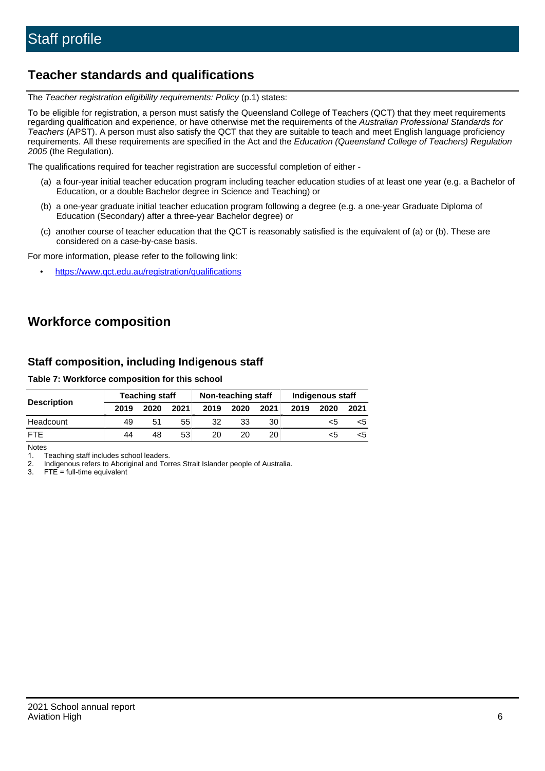# **Teacher standards and qualifications**

The Teacher registration eligibility requirements: Policy (p.1) states:

To be eligible for registration, a person must satisfy the Queensland College of Teachers (QCT) that they meet requirements regarding qualification and experience, or have otherwise met the requirements of the Australian Professional Standards for Teachers (APST). A person must also satisfy the QCT that they are suitable to teach and meet English language proficiency requirements. All these requirements are specified in the Act and the Education (Queensland College of Teachers) Regulation 2005 (the Regulation).

The qualifications required for teacher registration are successful completion of either -

- (a) a four-year initial teacher education program including teacher education studies of at least one year (e.g. a Bachelor of Education, or a double Bachelor degree in Science and Teaching) or
- (b) a one-year graduate initial teacher education program following a degree (e.g. a one-year Graduate Diploma of Education (Secondary) after a three-year Bachelor degree) or
- (c) another course of teacher education that the QCT is reasonably satisfied is the equivalent of (a) or (b). These are considered on a case-by-case basis.

For more information, please refer to the following link:

• <https://www.qct.edu.au/registration/qualifications>

# **Workforce composition**

## **Staff composition, including Indigenous staff**

#### **Table 7: Workforce composition for this school**

|                    | <b>Teaching staff</b> |      |      | Non-teaching staff |      |      | Indigenous staff |      |      |
|--------------------|-----------------------|------|------|--------------------|------|------|------------------|------|------|
| <b>Description</b> | 2019                  | 2020 | 2021 | 2019               | 2020 | 2021 | 2019             | 2020 | 2021 |
| Headcount          | 49                    | 51   | 55   | 32                 | 33   | 30   |                  | <5   |      |
| <b>FTE</b>         | 44                    | 48   | 53   | 20                 | 20   | 20   |                  | <5   |      |

Notes

1. Teaching staff includes school leaders.

2. Indigenous refers to Aboriginal and Torres Strait Islander people of Australia.

3. FTE = full-time equivalent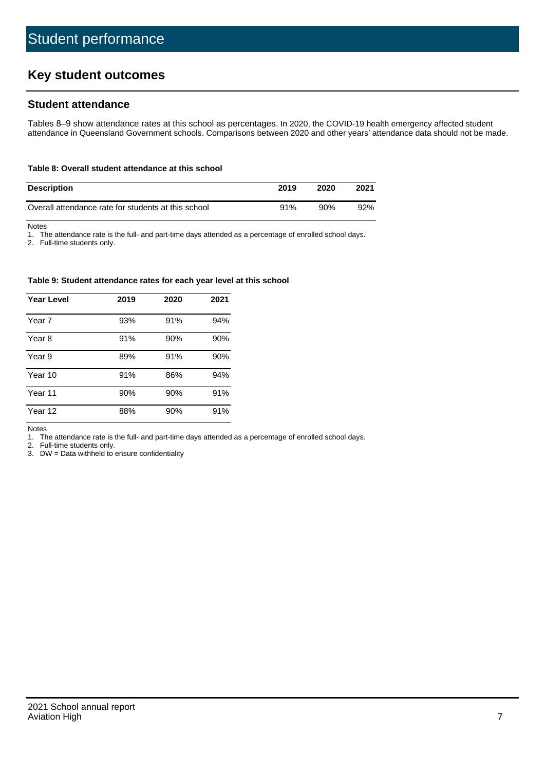# **Key student outcomes**

## **Student attendance**

Tables 8–9 show attendance rates at this school as percentages. In 2020, the COVID-19 health emergency affected student attendance in Queensland Government schools. Comparisons between 2020 and other years' attendance data should not be made.

#### **Table 8: Overall student attendance at this school**

| <b>Description</b>                                  | 2019 | 2020 | 2021 |
|-----------------------------------------------------|------|------|------|
| Overall attendance rate for students at this school | 91%  | 90%  | 92%  |

Notes

1. The attendance rate is the full- and part-time days attended as a percentage of enrolled school days.

2. Full-time students only.

#### **Table 9: Student attendance rates for each year level at this school**

| <b>Year Level</b> | 2019 | 2020 | 2021 |
|-------------------|------|------|------|
| Year 7            | 93%  | 91%  | 94%  |
| Year 8            | 91%  | 90%  | 90%  |
| Year 9            | 89%  | 91%  | 90%  |
| Year 10           | 91%  | 86%  | 94%  |
| Year 11           | 90%  | 90%  | 91%  |
| Year 12           | 88%  | 90%  | 91%  |

Notes

1. The attendance rate is the full- and part-time days attended as a percentage of enrolled school days.

2. Full-time students only.

3. DW = Data withheld to ensure confidentiality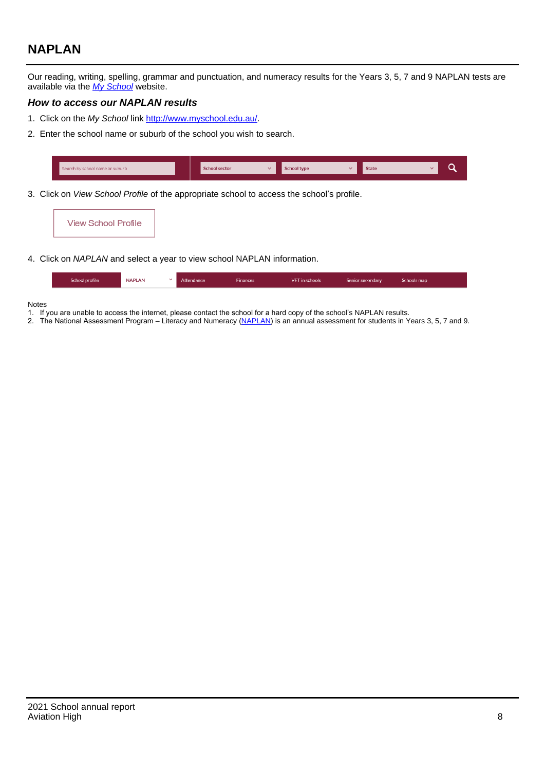# **NAPLAN**

Our reading, writing, spelling, grammar and punctuation, and numeracy results for the Years 3, 5, 7 and 9 NAPLAN tests are available via the [My School](http://www.myschool.edu.au/) website.

### **How to access our NAPLAN results**

- 1. Click on the My School link <http://www.myschool.edu.au/>.
- 2. Enter the school name or suburb of the school you wish to search.

| Search by school name or suburb | <b>School sector</b> | <b>School type</b>                        |          | <b>State</b> |  |
|---------------------------------|----------------------|-------------------------------------------|----------|--------------|--|
|                                 |                      |                                           |          |              |  |
|                                 |                      | $\sim$ $\sim$ $\sim$ $\sim$ $\sim$ $\sim$ | $\cdots$ |              |  |

3. Click on View School Profile of the appropriate school to access the school's profile.

| <b>View School Profile</b> |  |  |  |
|----------------------------|--|--|--|
|----------------------------|--|--|--|

4. Click on NAPLAN and select a year to view school NAPLAN information.

|  | School profile | <b>NAPLAN</b><br>$\sim$ 1 | Attendance | <b>Finances</b> | <b>VET</b> in schools | Senior secondary | Schools map |
|--|----------------|---------------------------|------------|-----------------|-----------------------|------------------|-------------|
|--|----------------|---------------------------|------------|-----------------|-----------------------|------------------|-------------|

#### Notes

- 1. If you are unable to access the internet, please contact the school for a hard copy of the school's NAPLAN results.
- 2. The National Assessment Program Literacy and Numeracy ([NAPLAN\)](http://www.nap.edu.au/naplan) is an annual assessment for students in Years 3, 5, 7 and 9.